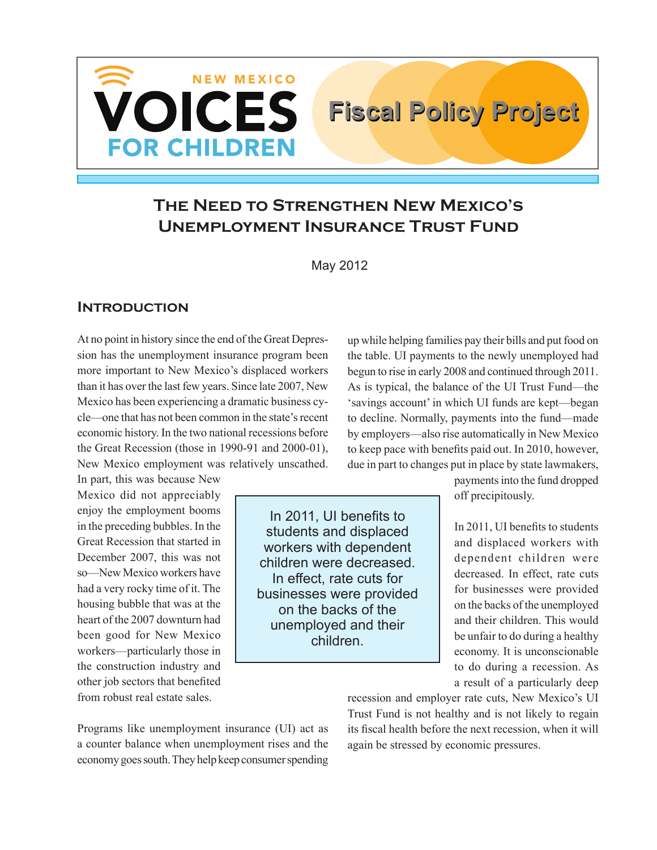

# **The Need to Strengthen New Mexico's Unemployment Insurance Trust Fund**

May 2012

#### **Introduction**

At no point in history since the end of the Great Depression has the unemployment insurance program been more important to New Mexico's displaced workers than it has over the last few years. Since late 2007, New Mexico has been experiencing a dramatic business cycle—one that has not been common in the state's recent economic history. In the two national recessions before the Great Recession (those in 1990-91 and 2000-01), New Mexico employment was relatively unscathed.

In part, this was because New Mexico did not appreciably enjoy the employment booms in the preceding bubbles. In the Great Recession that started in December 2007, this was not so—New Mexico workers have had a very rocky time of it. The housing bubble that was at the heart of the 2007 downturn had been good for New Mexico workers—particularly those in the construction industry and other job sectors that benefited from robust real estate sales.

In 2011, UI benefits to students and displaced workers with dependent children were decreased. In effect, rate cuts for businesses were provided on the backs of the unemployed and their children.

up while helping families pay their bills and put food on the table. UI payments to the newly unemployed had begun to rise in early 2008 and continued through 2011. As is typical, the balance of the UI Trust Fund—the 'savings account' in which UI funds are kept—began to decline. Normally, payments into the fund—made by employers—also rise automatically in New Mexico to keep pace with benefits paid out. In 2010, however, due in part to changes put in place by state lawmakers,

**Fiscal Policy Project Fiscal Policy Project**

payments into the fund dropped off precipitously.

In 2011, UI benefits to students and displaced workers with dependent children were decreased. In effect, rate cuts for businesses were provided on the backs of the unemployed and their children. This would be unfair to do during a healthy economy. It is unconscionable to do during a recession. As a result of a particularly deep

Programs like unemployment insurance (UI) act as a counter balance when unemployment rises and the economy goes south. They help keep consumer spending recession and employer rate cuts, New Mexico's UI Trust Fund is not healthy and is not likely to regain its fiscal health before the next recession, when it will again be stressed by economic pressures.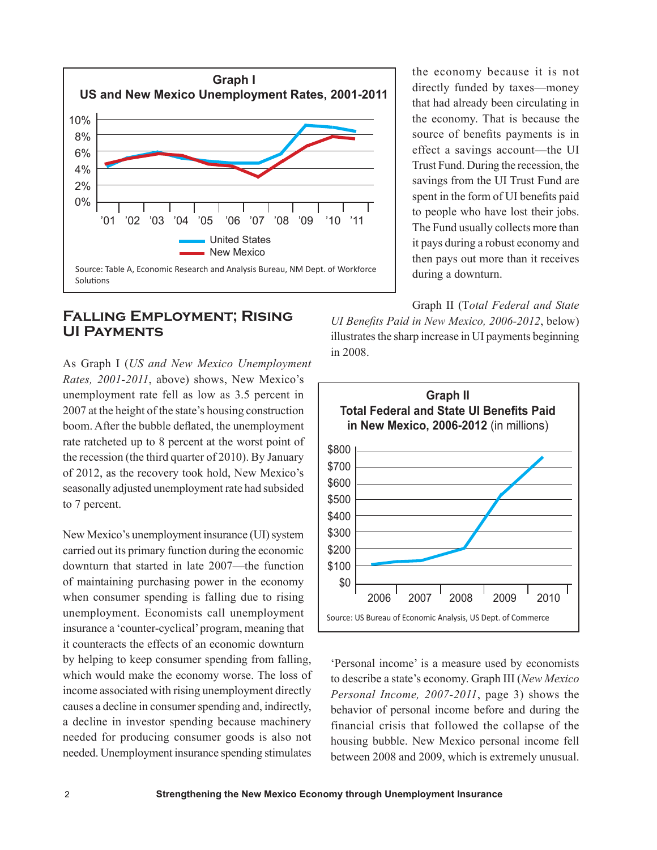

#### **Falling Employment; Rising UI Payments**

As Graph I (*US and New Mexico Unemployment Rates, 2001-2011*, above) shows, New Mexico's unemployment rate fell as low as 3.5 percent in 2007 at the height of the state's housing construction boom. After the bubble deflated, the unemployment rate ratcheted up to 8 percent at the worst point of the recession (the third quarter of 2010). By January of 2012, as the recovery took hold, New Mexico's seasonally adjusted unemployment rate had subsided to 7 percent.

New Mexico's unemployment insurance (UI) system carried out its primary function during the economic downturn that started in late 2007—the function of maintaining purchasing power in the economy when consumer spending is falling due to rising unemployment. Economists call unemployment insurance a 'counter-cyclical' program, meaning that it counteracts the effects of an economic downturn by helping to keep consumer spending from falling, which would make the economy worse. The loss of income associated with rising unemployment directly causes a decline in consumer spending and, indirectly, a decline in investor spending because machinery needed for producing consumer goods is also not needed. Unemployment insurance spending stimulates

the economy because it is not directly funded by taxes—money that had already been circulating in the economy. That is because the source of benefits payments is in effect a savings account—the UI Trust Fund. During the recession, the savings from the UI Trust Fund are spent in the form of UI benefits paid to people who have lost their jobs. The Fund usually collects more than it pays during a robust economy and then pays out more than it receives during a downturn.

Graph II (T*otal Federal and State UI Benefits Paid in New Mexico, 2006-2012*, below) illustrates the sharp increase in UI payments beginning in 2008.



'Personal income' is a measure used by economists to describe a state's economy. Graph III (*New Mexico Personal Income, 2007-2011*, page 3) shows the behavior of personal income before and during the financial crisis that followed the collapse of the housing bubble. New Mexico personal income fell between 2008 and 2009, which is extremely unusual.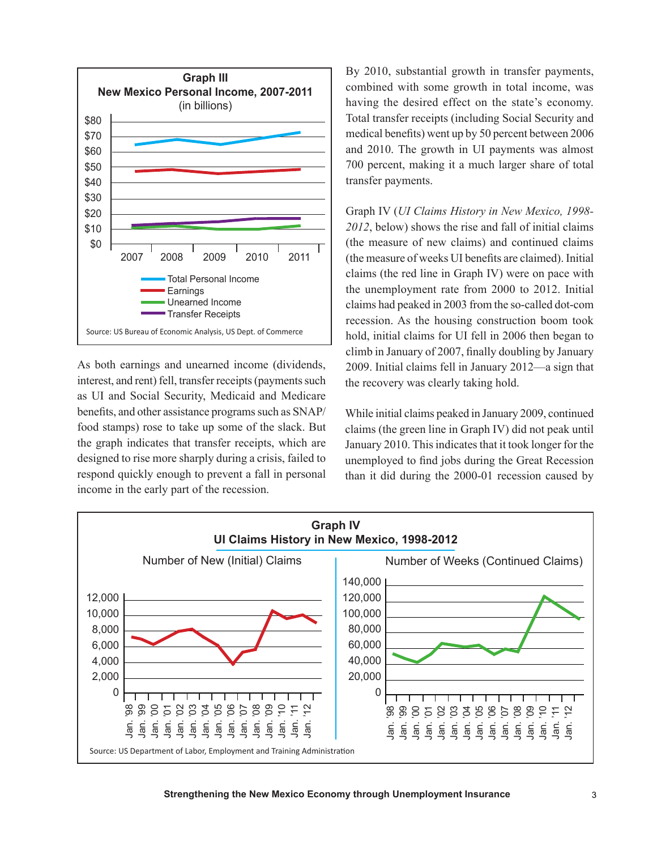

As both earnings and unearned income (dividends, interest, and rent) fell, transfer receipts (payments such as UI and Social Security, Medicaid and Medicare benefits, and other assistance programs such as SNAP/ food stamps) rose to take up some of the slack. But the graph indicates that transfer receipts, which are designed to rise more sharply during a crisis, failed to respond quickly enough to prevent a fall in personal income in the early part of the recession.

By 2010, substantial growth in transfer payments, combined with some growth in total income, was having the desired effect on the state's economy. Total transfer receipts (including Social Security and medical benefits) went up by 50 percent between 2006 and 2010. The growth in UI payments was almost 700 percent, making it a much larger share of total transfer payments.

Graph IV (*UI Claims History in New Mexico, 1998- 2012*, below) shows the rise and fall of initial claims (the measure of new claims) and continued claims (the measure of weeks UI benefits are claimed). Initial claims (the red line in Graph IV) were on pace with the unemployment rate from 2000 to 2012. Initial claims had peaked in 2003 from the so-called dot-com recession. As the housing construction boom took hold, initial claims for UI fell in 2006 then began to climb in January of 2007, finally doubling by January 2009. Initial claims fell in January 2012—a sign that the recovery was clearly taking hold.

While initial claims peaked in January 2009, continued claims (the green line in Graph IV) did not peak until January 2010. This indicates that it took longer for the unemployed to find jobs during the Great Recession than it did during the 2000-01 recession caused by

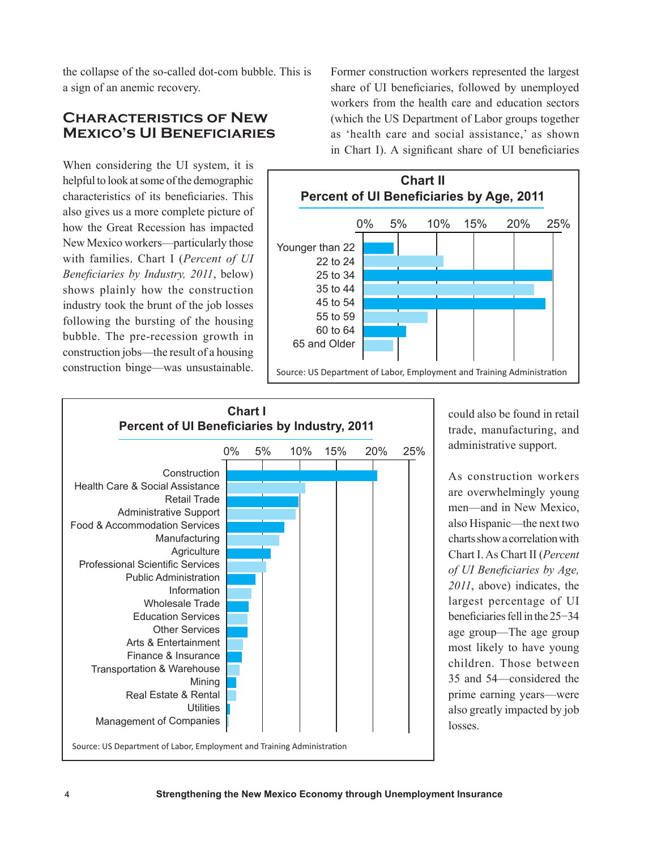the collapse of the so-called dot-com bubble. This is a sign of an anemic recovery.

### **Characteristics of New Mexico's UI Beneficiaries**

When considering the UI system, it is helpful to look at some of the demographic characteristics of its beneficiaries. This also gives us a more complete picture of how the Great Recession has impacted New Mexico workers—particularly those with families. Chart I (*Percent of UI Beneficiaries by Industry, 2011*, below) shows plainly how the construction industry took the brunt of the job losses following the bursting of the housing bubble. The pre-recession growth in construction jobs—the result of a housing construction binge—was unsustainable.

Former construction workers represented the largest share of UI beneficiaries, followed by unemployed workers from the health care and education sectors (which the US Department of Labor groups together as 'health care and social assistance,' as shown in Chart I). A significant share of UI beneficiaries





could also be found in retail trade, manufacturing, and administrative support.

As construction workers are overwhelmingly young men—and in New Mexico, also Hispanic—the next two charts show a correlation with Chart I. As Chart II (*Percent of UI Beneficiaries by Age, 2011*, above) indicates, the largest percentage of UI beneficiaries fell in the 25−34 age group—The age group most likely to have young children. Those between 35 and 54—considered the prime earning years—were also greatly impacted by job losses.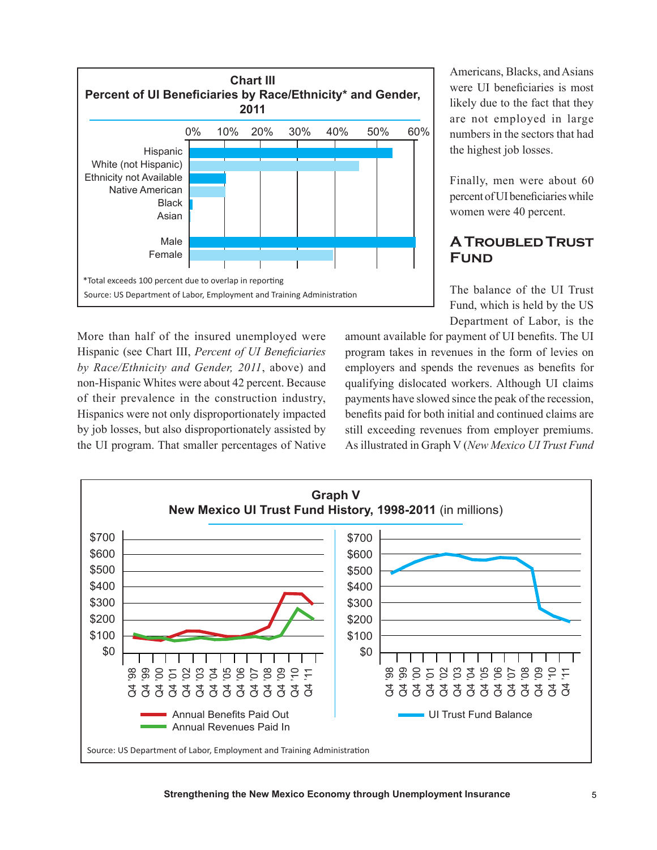

More than half of the insured unemployed were Hispanic (see Chart III, *Percent of UI Beneficiaries by Race/Ethnicity and Gender, 2011*, above) and non-Hispanic Whites were about 42 percent. Because of their prevalence in the construction industry, Hispanics were not only disproportionately impacted by job losses, but also disproportionately assisted by the UI program. That smaller percentages of Native Americans, Blacks, and Asians were UI beneficiaries is most likely due to the fact that they are not employed in large numbers in the sectors that had the highest job losses.

Finally, men were about 60 percent of UI beneficiaries while women were 40 percent.

### **A Troubled Trust Fund**

The balance of the UI Trust Fund, which is held by the US Department of Labor, is the

amount available for payment of UI benefits. The UI program takes in revenues in the form of levies on employers and spends the revenues as benefits for qualifying dislocated workers. Although UI claims payments have slowed since the peak of the recession, benefits paid for both initial and continued claims are still exceeding revenues from employer premiums. As illustrated in Graph V (*New Mexico UI Trust Fund* 

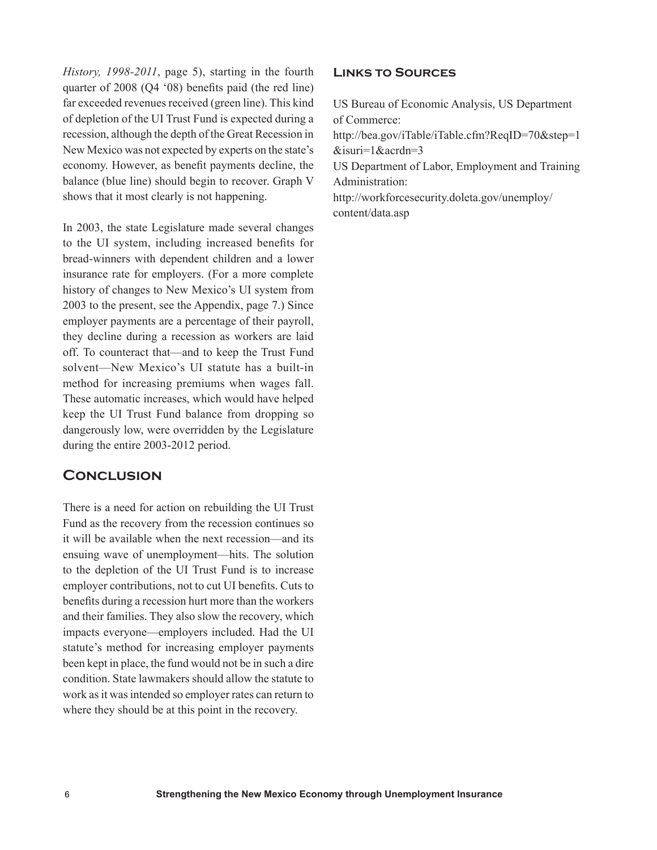*History, 1998-2011*, page 5), starting in the fourth quarter of 2008 (Q4 '08) benefits paid (the red line) far exceeded revenues received (green line). This kind of depletion of the UI Trust Fund is expected during a recession, although the depth of the Great Recession in New Mexico was not expected by experts on the state's economy. However, as benefit payments decline, the balance (blue line) should begin to recover. Graph V shows that it most clearly is not happening.

In 2003, the state Legislature made several changes to the UI system, including increased benefits for bread-winners with dependent children and a lower insurance rate for employers. (For a more complete history of changes to New Mexico's UI system from 2003 to the present, see the Appendix, page 7.) Since employer payments are a percentage of their payroll, they decline during a recession as workers are laid off. To counteract that—and to keep the Trust Fund solvent—New Mexico's UI statute has a built-in method for increasing premiums when wages fall. These automatic increases, which would have helped keep the UI Trust Fund balance from dropping so dangerously low, were overridden by the Legislature during the entire 2003-2012 period.

### **Conclusion**

There is a need for action on rebuilding the UI Trust Fund as the recovery from the recession continues so it will be available when the next recession—and its ensuing wave of unemployment—hits. The solution to the depletion of the UI Trust Fund is to increase employer contributions, not to cut UI benefits. Cuts to benefits during a recession hurt more than the workers and their families. They also slow the recovery, which impacts everyone—employers included. Had the UI statute's method for increasing employer payments been kept in place, the fund would not be in such a dire condition. State lawmakers should allow the statute to work as it was intended so employer rates can return to where they should be at this point in the recovery.

#### **Links to Sources**

US Bureau of Economic Analysis, US Department of Commerce: http://bea.gov/iTable/iTable.cfm?ReqID=70&step=1 &isuri=1&acrdn=3 US Department of Labor, Employment and Training Administration: http://workforcesecurity.doleta.gov/unemploy/ content/data.asp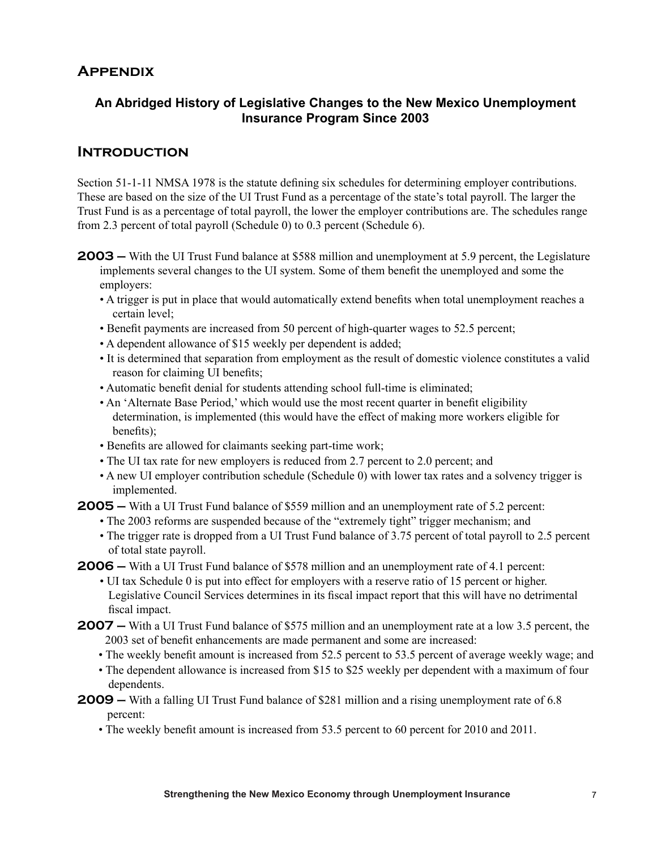## **Appendix**

### **An Abridged History of Legislative Changes to the New Mexico Unemployment Insurance Program Since 2003**

### **Introduction**

Section 51-1-11 NMSA 1978 is the statute defining six schedules for determining employer contributions. These are based on the size of the UI Trust Fund as a percentage of the state's total payroll. The larger the Trust Fund is as a percentage of total payroll, the lower the employer contributions are. The schedules range from 2.3 percent of total payroll (Schedule 0) to 0.3 percent (Schedule 6).

- **2003 –** With the UI Trust Fund balance at \$588 million and unemployment at 5.9 percent, the Legislature implements several changes to the UI system. Some of them benefit the unemployed and some the employers:
	- A trigger is put in place that would automatically extend benefits when total unemployment reaches a certain level;
	- Benefit payments are increased from 50 percent of high-quarter wages to 52.5 percent;
	- A dependent allowance of \$15 weekly per dependent is added;
	- It is determined that separation from employment as the result of domestic violence constitutes a valid reason for claiming UI benefits;
	- Automatic benefit denial for students attending school full-time is eliminated;
	- An 'Alternate Base Period,' which would use the most recent quarter in benefit eligibility determination, is implemented (this would have the effect of making more workers eligible for benefits);
	- Benefits are allowed for claimants seeking part-time work;
	- The UI tax rate for new employers is reduced from 2.7 percent to 2.0 percent; and
	- A new UI employer contribution schedule (Schedule 0) with lower tax rates and a solvency trigger is implemented.
- **2005 –** With a UI Trust Fund balance of \$559 million and an unemployment rate of 5.2 percent:
	- The 2003 reforms are suspended because of the "extremely tight" trigger mechanism; and
	- The trigger rate is dropped from a UI Trust Fund balance of 3.75 percent of total payroll to 2.5 percent of total state payroll.
- **2006 –** With a UI Trust Fund balance of \$578 million and an unemployment rate of 4.1 percent:
	- UI tax Schedule 0 is put into effect for employers with a reserve ratio of 15 percent or higher. Legislative Council Services determines in its fiscal impact report that this will have no detrimental fiscal impact.
- **2007 –** With a UI Trust Fund balance of \$575 million and an unemployment rate at a low 3.5 percent, the 2003 set of benefit enhancements are made permanent and some are increased:
	- The weekly benefit amount is increased from 52.5 percent to 53.5 percent of average weekly wage; and
	- The dependent allowance is increased from \$15 to \$25 weekly per dependent with a maximum of four dependents.
- **2009 –** With a falling UI Trust Fund balance of \$281 million and a rising unemployment rate of 6.8 percent:
	- The weekly benefit amount is increased from 53.5 percent to 60 percent for 2010 and 2011.